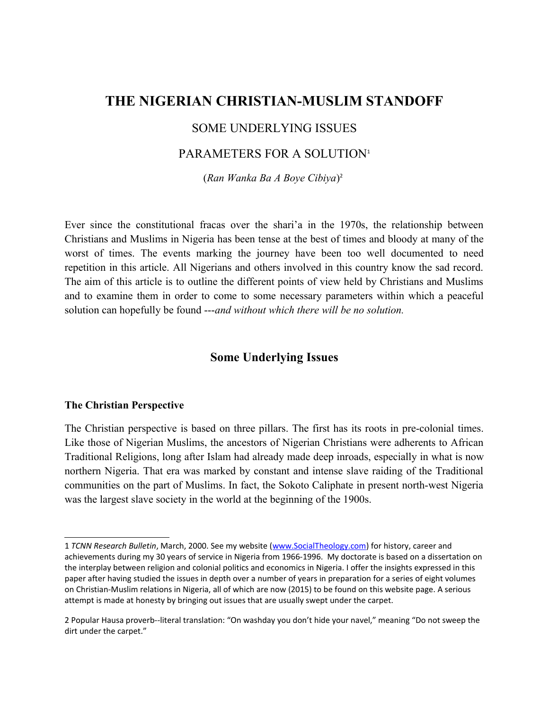# **THE NIGERIAN CHRISTIAN-MUSLIM STANDOFF**

# SOME UNDERLYING ISSUES

# PARAMETERS FOR A SOLUTION<sup>[1](#page-0-0)</sup>

(*Ran Wanka Ba A Boye Cibiya*) [2](#page-0-1)

Ever since the constitutional fracas over the shari'a in the 1970s, the relationship between Christians and Muslims in Nigeria has been tense at the best of times and bloody at many of the worst of times. The events marking the journey have been too well documented to need repetition in this article. All Nigerians and others involved in this country know the sad record. The aim of this article is to outline the different points of view held by Christians and Muslims and to examine them in order to come to some necessary parameters within which a peaceful solution can hopefully be found ---*and without which there will be no solution.*

# **Some Underlying Issues**

#### **The Christian Perspective**

The Christian perspective is based on three pillars. The first has its roots in pre-colonial times. Like those of Nigerian Muslims, the ancestors of Nigerian Christians were adherents to African Traditional Religions, long after Islam had already made deep inroads, especially in what is now northern Nigeria. That era was marked by constant and intense slave raiding of the Traditional communities on the part of Muslims. In fact, the Sokoto Caliphate in present north-west Nigeria was the largest slave society in the world at the beginning of the 1900s.

<span id="page-0-0"></span><sup>1</sup> *TCNN Research Bulletin*, March, 2000. See my website [\(www.SocialTheology.com\)](http://www.SocialTheology.com/) for history, career and achievements during my 30 years of service in Nigeria from 1966-1996. My doctorate is based on a dissertation on the interplay between religion and colonial politics and economics in Nigeria. I offer the insights expressed in this paper after having studied the issues in depth over a number of years in preparation for a series of eight volumes on Christian-Muslim relations in Nigeria, all of which are now (2015) to be found on this website page. A serious attempt is made at honesty by bringing out issues that are usually swept under the carpet.

<span id="page-0-1"></span><sup>2</sup> Popular Hausa proverb--literal translation: "On washday you don't hide your navel," meaning "Do not sweep the dirt under the carpet."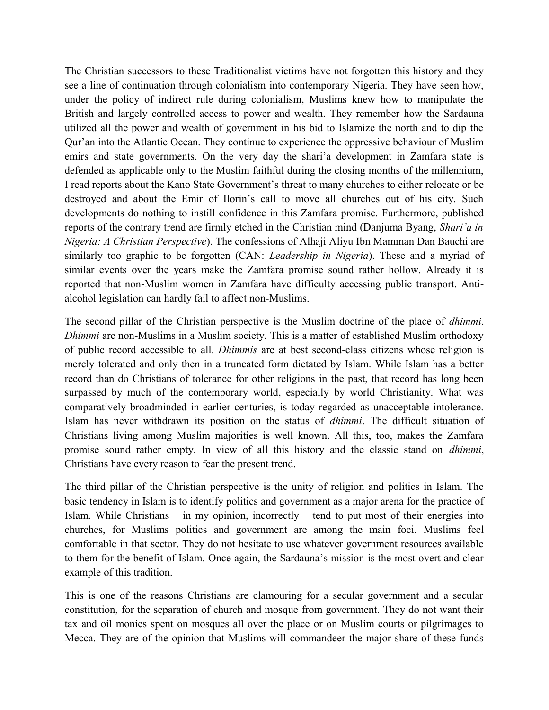The Christian successors to these Traditionalist victims have not forgotten this history and they see a line of continuation through colonialism into contemporary Nigeria. They have seen how, under the policy of indirect rule during colonialism, Muslims knew how to manipulate the British and largely controlled access to power and wealth. They remember how the Sardauna utilized all the power and wealth of government in his bid to Islamize the north and to dip the Qur'an into the Atlantic Ocean. They continue to experience the oppressive behaviour of Muslim emirs and state governments. On the very day the shari'a development in Zamfara state is defended as applicable only to the Muslim faithful during the closing months of the millennium, I read reports about the Kano State Government's threat to many churches to either relocate or be destroyed and about the Emir of Ilorin's call to move all churches out of his city. Such developments do nothing to instill confidence in this Zamfara promise. Furthermore, published reports of the contrary trend are firmly etched in the Christian mind (Danjuma Byang, *Shari'a in Nigeria: A Christian Perspective*). The confessions of Alhaji Aliyu Ibn Mamman Dan Bauchi are similarly too graphic to be forgotten (CAN: *Leadership in Nigeria*). These and a myriad of similar events over the years make the Zamfara promise sound rather hollow. Already it is reported that non-Muslim women in Zamfara have difficulty accessing public transport. Antialcohol legislation can hardly fail to affect non-Muslims.

The second pillar of the Christian perspective is the Muslim doctrine of the place of *dhimmi*. *Dhimmi* are non-Muslims in a Muslim society. This is a matter of established Muslim orthodoxy of public record accessible to all. *Dhimmis* are at best second-class citizens whose religion is merely tolerated and only then in a truncated form dictated by Islam. While Islam has a better record than do Christians of tolerance for other religions in the past, that record has long been surpassed by much of the contemporary world, especially by world Christianity. What was comparatively broadminded in earlier centuries, is today regarded as unacceptable intolerance. Islam has never withdrawn its position on the status of *dhimmi*. The difficult situation of Christians living among Muslim majorities is well known. All this, too, makes the Zamfara promise sound rather empty. In view of all this history and the classic stand on *dhimmi*, Christians have every reason to fear the present trend.

The third pillar of the Christian perspective is the unity of religion and politics in Islam. The basic tendency in Islam is to identify politics and government as a major arena for the practice of Islam. While Christians – in my opinion, incorrectly – tend to put most of their energies into churches, for Muslims politics and government are among the main foci. Muslims feel comfortable in that sector. They do not hesitate to use whatever government resources available to them for the benefit of Islam. Once again, the Sardauna's mission is the most overt and clear example of this tradition.

This is one of the reasons Christians are clamouring for a secular government and a secular constitution, for the separation of church and mosque from government. They do not want their tax and oil monies spent on mosques all over the place or on Muslim courts or pilgrimages to Mecca. They are of the opinion that Muslims will commandeer the major share of these funds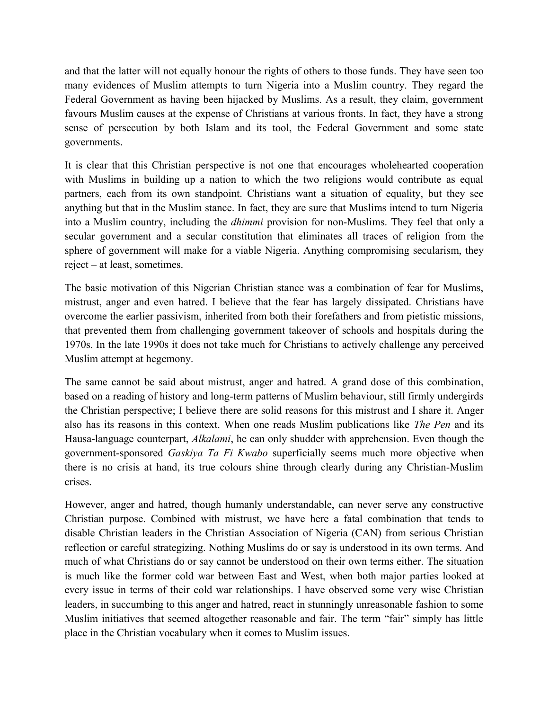and that the latter will not equally honour the rights of others to those funds. They have seen too many evidences of Muslim attempts to turn Nigeria into a Muslim country. They regard the Federal Government as having been hijacked by Muslims. As a result, they claim, government favours Muslim causes at the expense of Christians at various fronts. In fact, they have a strong sense of persecution by both Islam and its tool, the Federal Government and some state governments.

It is clear that this Christian perspective is not one that encourages wholehearted cooperation with Muslims in building up a nation to which the two religions would contribute as equal partners, each from its own standpoint. Christians want a situation of equality, but they see anything but that in the Muslim stance. In fact, they are sure that Muslims intend to turn Nigeria into a Muslim country, including the *dhimmi* provision for non-Muslims. They feel that only a secular government and a secular constitution that eliminates all traces of religion from the sphere of government will make for a viable Nigeria. Anything compromising secularism, they reject – at least, sometimes.

The basic motivation of this Nigerian Christian stance was a combination of fear for Muslims, mistrust, anger and even hatred. I believe that the fear has largely dissipated. Christians have overcome the earlier passivism, inherited from both their forefathers and from pietistic missions, that prevented them from challenging government takeover of schools and hospitals during the 1970s. In the late 1990s it does not take much for Christians to actively challenge any perceived Muslim attempt at hegemony.

The same cannot be said about mistrust, anger and hatred. A grand dose of this combination, based on a reading of history and long-term patterns of Muslim behaviour, still firmly undergirds the Christian perspective; I believe there are solid reasons for this mistrust and I share it. Anger also has its reasons in this context. When one reads Muslim publications like *The Pen* and its Hausa-language counterpart, *Alkalami*, he can only shudder with apprehension. Even though the government-sponsored *Gaskiya Ta Fi Kwabo* superficially seems much more objective when there is no crisis at hand, its true colours shine through clearly during any Christian-Muslim crises.

However, anger and hatred, though humanly understandable, can never serve any constructive Christian purpose. Combined with mistrust, we have here a fatal combination that tends to disable Christian leaders in the Christian Association of Nigeria (CAN) from serious Christian reflection or careful strategizing. Nothing Muslims do or say is understood in its own terms. And much of what Christians do or say cannot be understood on their own terms either. The situation is much like the former cold war between East and West, when both major parties looked at every issue in terms of their cold war relationships. I have observed some very wise Christian leaders, in succumbing to this anger and hatred, react in stunningly unreasonable fashion to some Muslim initiatives that seemed altogether reasonable and fair. The term "fair" simply has little place in the Christian vocabulary when it comes to Muslim issues.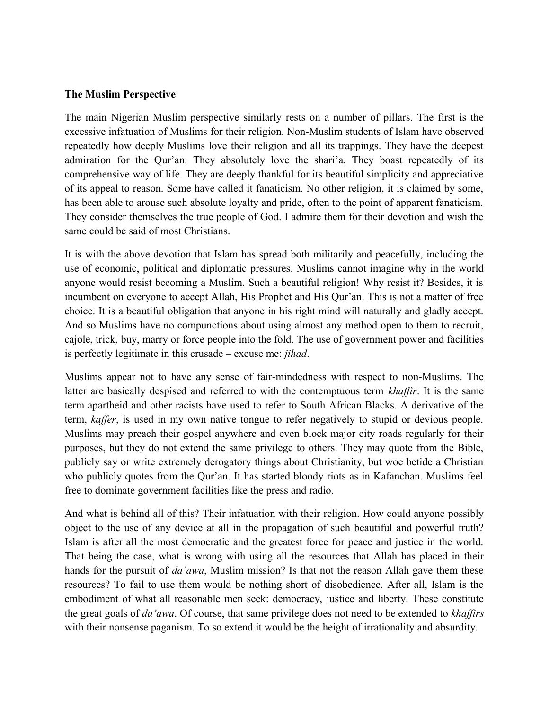#### **The Muslim Perspective**

The main Nigerian Muslim perspective similarly rests on a number of pillars. The first is the excessive infatuation of Muslims for their religion. Non-Muslim students of Islam have observed repeatedly how deeply Muslims love their religion and all its trappings. They have the deepest admiration for the Qur'an. They absolutely love the shari'a. They boast repeatedly of its comprehensive way of life. They are deeply thankful for its beautiful simplicity and appreciative of its appeal to reason. Some have called it fanaticism. No other religion, it is claimed by some, has been able to arouse such absolute loyalty and pride, often to the point of apparent fanaticism. They consider themselves the true people of God. I admire them for their devotion and wish the same could be said of most Christians.

It is with the above devotion that Islam has spread both militarily and peacefully, including the use of economic, political and diplomatic pressures. Muslims cannot imagine why in the world anyone would resist becoming a Muslim. Such a beautiful religion! Why resist it? Besides, it is incumbent on everyone to accept Allah, His Prophet and His Qur'an. This is not a matter of free choice. It is a beautiful obligation that anyone in his right mind will naturally and gladly accept. And so Muslims have no compunctions about using almost any method open to them to recruit, cajole, trick, buy, marry or force people into the fold. The use of government power and facilities is perfectly legitimate in this crusade – excuse me: *jihad*.

Muslims appear not to have any sense of fair-mindedness with respect to non-Muslims. The latter are basically despised and referred to with the contemptuous term *khaffir*. It is the same term apartheid and other racists have used to refer to South African Blacks. A derivative of the term, *kaffer*, is used in my own native tongue to refer negatively to stupid or devious people. Muslims may preach their gospel anywhere and even block major city roads regularly for their purposes, but they do not extend the same privilege to others. They may quote from the Bible, publicly say or write extremely derogatory things about Christianity, but woe betide a Christian who publicly quotes from the Qur'an. It has started bloody riots as in Kafanchan. Muslims feel free to dominate government facilities like the press and radio.

And what is behind all of this? Their infatuation with their religion. How could anyone possibly object to the use of any device at all in the propagation of such beautiful and powerful truth? Islam is after all the most democratic and the greatest force for peace and justice in the world. That being the case, what is wrong with using all the resources that Allah has placed in their hands for the pursuit of *da'awa*, Muslim mission? Is that not the reason Allah gave them these resources? To fail to use them would be nothing short of disobedience. After all, Islam is the embodiment of what all reasonable men seek: democracy, justice and liberty. These constitute the great goals of *da'awa*. Of course, that same privilege does not need to be extended to *khaffirs* with their nonsense paganism. To so extend it would be the height of irrationality and absurdity.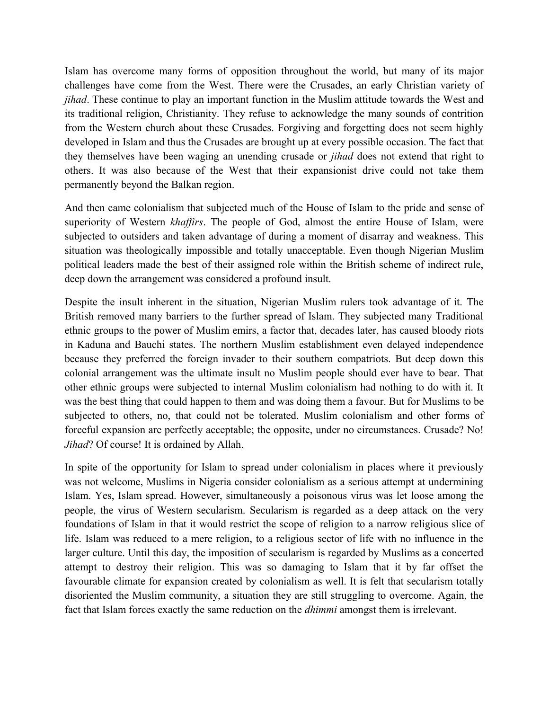Islam has overcome many forms of opposition throughout the world, but many of its major challenges have come from the West. There were the Crusades, an early Christian variety of *jihad*. These continue to play an important function in the Muslim attitude towards the West and its traditional religion, Christianity. They refuse to acknowledge the many sounds of contrition from the Western church about these Crusades. Forgiving and forgetting does not seem highly developed in Islam and thus the Crusades are brought up at every possible occasion. The fact that they themselves have been waging an unending crusade or *jihad* does not extend that right to others. It was also because of the West that their expansionist drive could not take them permanently beyond the Balkan region.

And then came colonialism that subjected much of the House of Islam to the pride and sense of superiority of Western *khaffirs*. The people of God, almost the entire House of Islam, were subjected to outsiders and taken advantage of during a moment of disarray and weakness. This situation was theologically impossible and totally unacceptable. Even though Nigerian Muslim political leaders made the best of their assigned role within the British scheme of indirect rule, deep down the arrangement was considered a profound insult.

Despite the insult inherent in the situation, Nigerian Muslim rulers took advantage of it. The British removed many barriers to the further spread of Islam. They subjected many Traditional ethnic groups to the power of Muslim emirs, a factor that, decades later, has caused bloody riots in Kaduna and Bauchi states. The northern Muslim establishment even delayed independence because they preferred the foreign invader to their southern compatriots. But deep down this colonial arrangement was the ultimate insult no Muslim people should ever have to bear. That other ethnic groups were subjected to internal Muslim colonialism had nothing to do with it. It was the best thing that could happen to them and was doing them a favour. But for Muslims to be subjected to others, no, that could not be tolerated. Muslim colonialism and other forms of forceful expansion are perfectly acceptable; the opposite, under no circumstances. Crusade? No! *Jihad*? Of course! It is ordained by Allah.

In spite of the opportunity for Islam to spread under colonialism in places where it previously was not welcome, Muslims in Nigeria consider colonialism as a serious attempt at undermining Islam. Yes, Islam spread. However, simultaneously a poisonous virus was let loose among the people, the virus of Western secularism. Secularism is regarded as a deep attack on the very foundations of Islam in that it would restrict the scope of religion to a narrow religious slice of life. Islam was reduced to a mere religion, to a religious sector of life with no influence in the larger culture. Until this day, the imposition of secularism is regarded by Muslims as a concerted attempt to destroy their religion. This was so damaging to Islam that it by far offset the favourable climate for expansion created by colonialism as well. It is felt that secularism totally disoriented the Muslim community, a situation they are still struggling to overcome. Again, the fact that Islam forces exactly the same reduction on the *dhimmi* amongst them is irrelevant.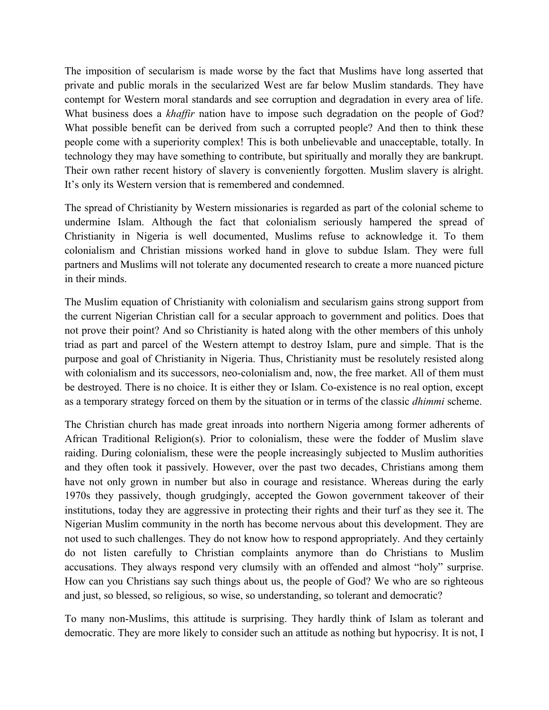The imposition of secularism is made worse by the fact that Muslims have long asserted that private and public morals in the secularized West are far below Muslim standards. They have contempt for Western moral standards and see corruption and degradation in every area of life. What business does a *khaffir* nation have to impose such degradation on the people of God? What possible benefit can be derived from such a corrupted people? And then to think these people come with a superiority complex! This is both unbelievable and unacceptable, totally. In technology they may have something to contribute, but spiritually and morally they are bankrupt. Their own rather recent history of slavery is conveniently forgotten. Muslim slavery is alright. It's only its Western version that is remembered and condemned.

The spread of Christianity by Western missionaries is regarded as part of the colonial scheme to undermine Islam. Although the fact that colonialism seriously hampered the spread of Christianity in Nigeria is well documented, Muslims refuse to acknowledge it. To them colonialism and Christian missions worked hand in glove to subdue Islam. They were full partners and Muslims will not tolerate any documented research to create a more nuanced picture in their minds.

The Muslim equation of Christianity with colonialism and secularism gains strong support from the current Nigerian Christian call for a secular approach to government and politics. Does that not prove their point? And so Christianity is hated along with the other members of this unholy triad as part and parcel of the Western attempt to destroy Islam, pure and simple. That is the purpose and goal of Christianity in Nigeria. Thus, Christianity must be resolutely resisted along with colonialism and its successors, neo-colonialism and, now, the free market. All of them must be destroyed. There is no choice. It is either they or Islam. Co-existence is no real option, except as a temporary strategy forced on them by the situation or in terms of the classic *dhimmi* scheme.

The Christian church has made great inroads into northern Nigeria among former adherents of African Traditional Religion(s). Prior to colonialism, these were the fodder of Muslim slave raiding. During colonialism, these were the people increasingly subjected to Muslim authorities and they often took it passively. However, over the past two decades, Christians among them have not only grown in number but also in courage and resistance. Whereas during the early 1970s they passively, though grudgingly, accepted the Gowon government takeover of their institutions, today they are aggressive in protecting their rights and their turf as they see it. The Nigerian Muslim community in the north has become nervous about this development. They are not used to such challenges. They do not know how to respond appropriately. And they certainly do not listen carefully to Christian complaints anymore than do Christians to Muslim accusations. They always respond very clumsily with an offended and almost "holy" surprise. How can you Christians say such things about us, the people of God? We who are so righteous and just, so blessed, so religious, so wise, so understanding, so tolerant and democratic?

To many non-Muslims, this attitude is surprising. They hardly think of Islam as tolerant and democratic. They are more likely to consider such an attitude as nothing but hypocrisy. It is not, I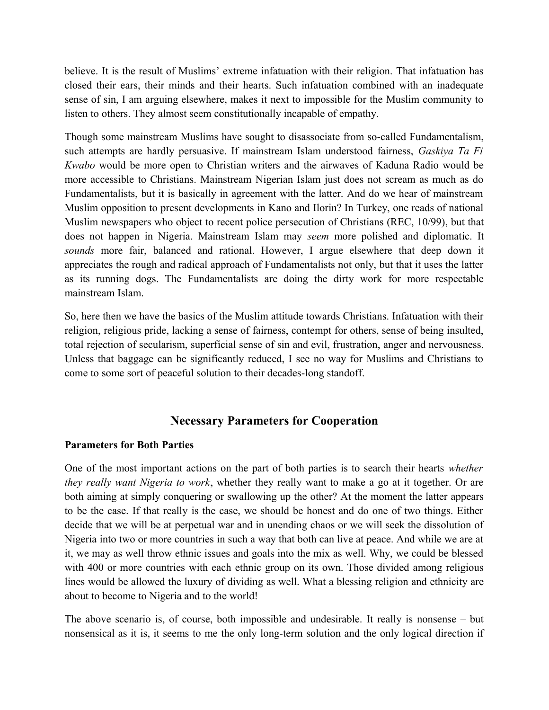believe. It is the result of Muslims' extreme infatuation with their religion. That infatuation has closed their ears, their minds and their hearts. Such infatuation combined with an inadequate sense of sin, I am arguing elsewhere, makes it next to impossible for the Muslim community to listen to others. They almost seem constitutionally incapable of empathy.

Though some mainstream Muslims have sought to disassociate from so-called Fundamentalism, such attempts are hardly persuasive. If mainstream Islam understood fairness, *Gaskiya Ta Fi Kwabo* would be more open to Christian writers and the airwaves of Kaduna Radio would be more accessible to Christians. Mainstream Nigerian Islam just does not scream as much as do Fundamentalists, but it is basically in agreement with the latter. And do we hear of mainstream Muslim opposition to present developments in Kano and Ilorin? In Turkey, one reads of national Muslim newspapers who object to recent police persecution of Christians (REC, 10/99), but that does not happen in Nigeria. Mainstream Islam may *seem* more polished and diplomatic. It *sounds* more fair, balanced and rational. However, I argue elsewhere that deep down it appreciates the rough and radical approach of Fundamentalists not only, but that it uses the latter as its running dogs. The Fundamentalists are doing the dirty work for more respectable mainstream Islam.

So, here then we have the basics of the Muslim attitude towards Christians. Infatuation with their religion, religious pride, lacking a sense of fairness, contempt for others, sense of being insulted, total rejection of secularism, superficial sense of sin and evil, frustration, anger and nervousness. Unless that baggage can be significantly reduced, I see no way for Muslims and Christians to come to some sort of peaceful solution to their decades-long standoff.

# **Necessary Parameters for Cooperation**

# **Parameters for Both Parties**

One of the most important actions on the part of both parties is to search their hearts *whether they really want Nigeria to work*, whether they really want to make a go at it together. Or are both aiming at simply conquering or swallowing up the other? At the moment the latter appears to be the case. If that really is the case, we should be honest and do one of two things. Either decide that we will be at perpetual war and in unending chaos or we will seek the dissolution of Nigeria into two or more countries in such a way that both can live at peace. And while we are at it, we may as well throw ethnic issues and goals into the mix as well. Why, we could be blessed with 400 or more countries with each ethnic group on its own. Those divided among religious lines would be allowed the luxury of dividing as well. What a blessing religion and ethnicity are about to become to Nigeria and to the world!

The above scenario is, of course, both impossible and undesirable. It really is nonsense – but nonsensical as it is, it seems to me the only long-term solution and the only logical direction if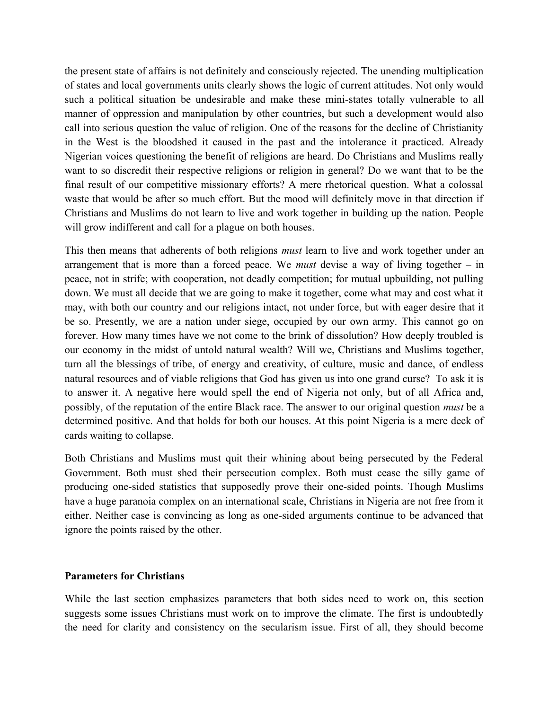the present state of affairs is not definitely and consciously rejected. The unending multiplication of states and local governments units clearly shows the logic of current attitudes. Not only would such a political situation be undesirable and make these mini-states totally vulnerable to all manner of oppression and manipulation by other countries, but such a development would also call into serious question the value of religion. One of the reasons for the decline of Christianity in the West is the bloodshed it caused in the past and the intolerance it practiced. Already Nigerian voices questioning the benefit of religions are heard. Do Christians and Muslims really want to so discredit their respective religions or religion in general? Do we want that to be the final result of our competitive missionary efforts? A mere rhetorical question. What a colossal waste that would be after so much effort. But the mood will definitely move in that direction if Christians and Muslims do not learn to live and work together in building up the nation. People will grow indifferent and call for a plague on both houses.

This then means that adherents of both religions *must* learn to live and work together under an arrangement that is more than a forced peace. We *must* devise a way of living together – in peace, not in strife; with cooperation, not deadly competition; for mutual upbuilding, not pulling down. We must all decide that we are going to make it together, come what may and cost what it may, with both our country and our religions intact, not under force, but with eager desire that it be so. Presently, we are a nation under siege, occupied by our own army. This cannot go on forever. How many times have we not come to the brink of dissolution? How deeply troubled is our economy in the midst of untold natural wealth? Will we, Christians and Muslims together, turn all the blessings of tribe, of energy and creativity, of culture, music and dance, of endless natural resources and of viable religions that God has given us into one grand curse? To ask it is to answer it. A negative here would spell the end of Nigeria not only, but of all Africa and, possibly, of the reputation of the entire Black race. The answer to our original question *must* be a determined positive. And that holds for both our houses. At this point Nigeria is a mere deck of cards waiting to collapse.

Both Christians and Muslims must quit their whining about being persecuted by the Federal Government. Both must shed their persecution complex. Both must cease the silly game of producing one-sided statistics that supposedly prove their one-sided points. Though Muslims have a huge paranoia complex on an international scale, Christians in Nigeria are not free from it either. Neither case is convincing as long as one-sided arguments continue to be advanced that ignore the points raised by the other.

#### **Parameters for Christians**

While the last section emphasizes parameters that both sides need to work on, this section suggests some issues Christians must work on to improve the climate. The first is undoubtedly the need for clarity and consistency on the secularism issue. First of all, they should become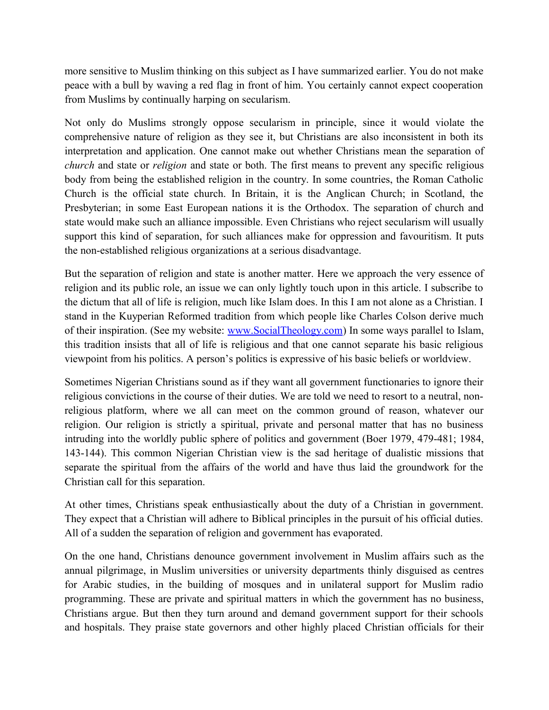more sensitive to Muslim thinking on this subject as I have summarized earlier. You do not make peace with a bull by waving a red flag in front of him. You certainly cannot expect cooperation from Muslims by continually harping on secularism.

Not only do Muslims strongly oppose secularism in principle, since it would violate the comprehensive nature of religion as they see it, but Christians are also inconsistent in both its interpretation and application. One cannot make out whether Christians mean the separation of *church* and state or *religion* and state or both. The first means to prevent any specific religious body from being the established religion in the country. In some countries, the Roman Catholic Church is the official state church. In Britain, it is the Anglican Church; in Scotland, the Presbyterian; in some East European nations it is the Orthodox. The separation of church and state would make such an alliance impossible. Even Christians who reject secularism will usually support this kind of separation, for such alliances make for oppression and favouritism. It puts the non-established religious organizations at a serious disadvantage.

But the separation of religion and state is another matter. Here we approach the very essence of religion and its public role, an issue we can only lightly touch upon in this article. I subscribe to the dictum that all of life is religion, much like Islam does. In this I am not alone as a Christian. I stand in the Kuyperian Reformed tradition from which people like Charles Colson derive much of their inspiration. (See my website: [www.SocialTheology.com\)](http://www.SocialTheology.com/) In some ways parallel to Islam, this tradition insists that all of life is religious and that one cannot separate his basic religious viewpoint from his politics. A person's politics is expressive of his basic beliefs or worldview.

Sometimes Nigerian Christians sound as if they want all government functionaries to ignore their religious convictions in the course of their duties. We are told we need to resort to a neutral, nonreligious platform, where we all can meet on the common ground of reason, whatever our religion. Our religion is strictly a spiritual, private and personal matter that has no business intruding into the worldly public sphere of politics and government (Boer 1979, 479-481; 1984, 143-144). This common Nigerian Christian view is the sad heritage of dualistic missions that separate the spiritual from the affairs of the world and have thus laid the groundwork for the Christian call for this separation.

At other times, Christians speak enthusiastically about the duty of a Christian in government. They expect that a Christian will adhere to Biblical principles in the pursuit of his official duties. All of a sudden the separation of religion and government has evaporated.

On the one hand, Christians denounce government involvement in Muslim affairs such as the annual pilgrimage, in Muslim universities or university departments thinly disguised as centres for Arabic studies, in the building of mosques and in unilateral support for Muslim radio programming. These are private and spiritual matters in which the government has no business, Christians argue. But then they turn around and demand government support for their schools and hospitals. They praise state governors and other highly placed Christian officials for their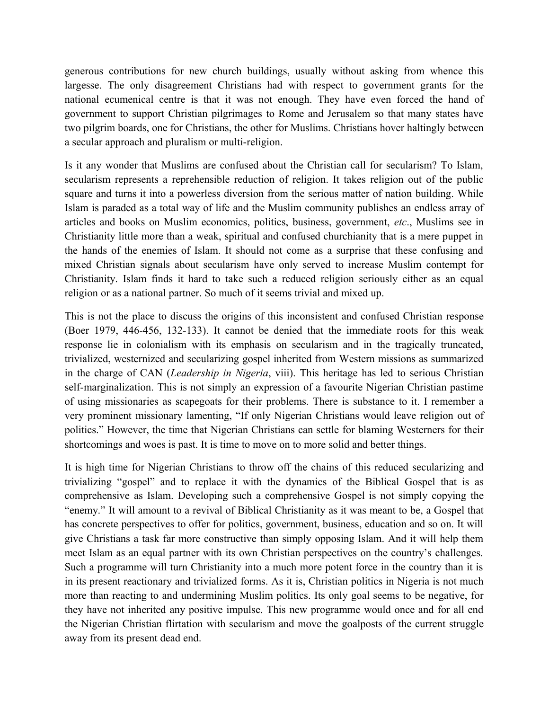generous contributions for new church buildings, usually without asking from whence this largesse. The only disagreement Christians had with respect to government grants for the national ecumenical centre is that it was not enough. They have even forced the hand of government to support Christian pilgrimages to Rome and Jerusalem so that many states have two pilgrim boards, one for Christians, the other for Muslims. Christians hover haltingly between a secular approach and pluralism or multi-religion.

Is it any wonder that Muslims are confused about the Christian call for secularism? To Islam, secularism represents a reprehensible reduction of religion. It takes religion out of the public square and turns it into a powerless diversion from the serious matter of nation building. While Islam is paraded as a total way of life and the Muslim community publishes an endless array of articles and books on Muslim economics, politics, business, government, *etc*., Muslims see in Christianity little more than a weak, spiritual and confused churchianity that is a mere puppet in the hands of the enemies of Islam. It should not come as a surprise that these confusing and mixed Christian signals about secularism have only served to increase Muslim contempt for Christianity. Islam finds it hard to take such a reduced religion seriously either as an equal religion or as a national partner. So much of it seems trivial and mixed up.

This is not the place to discuss the origins of this inconsistent and confused Christian response (Boer 1979, 446-456, 132-133). It cannot be denied that the immediate roots for this weak response lie in colonialism with its emphasis on secularism and in the tragically truncated, trivialized, westernized and secularizing gospel inherited from Western missions as summarized in the charge of CAN (*Leadership in Nigeria*, viii). This heritage has led to serious Christian self-marginalization. This is not simply an expression of a favourite Nigerian Christian pastime of using missionaries as scapegoats for their problems. There is substance to it. I remember a very prominent missionary lamenting, "If only Nigerian Christians would leave religion out of politics." However, the time that Nigerian Christians can settle for blaming Westerners for their shortcomings and woes is past. It is time to move on to more solid and better things.

It is high time for Nigerian Christians to throw off the chains of this reduced secularizing and trivializing "gospel" and to replace it with the dynamics of the Biblical Gospel that is as comprehensive as Islam. Developing such a comprehensive Gospel is not simply copying the "enemy." It will amount to a revival of Biblical Christianity as it was meant to be, a Gospel that has concrete perspectives to offer for politics, government, business, education and so on. It will give Christians a task far more constructive than simply opposing Islam. And it will help them meet Islam as an equal partner with its own Christian perspectives on the country's challenges. Such a programme will turn Christianity into a much more potent force in the country than it is in its present reactionary and trivialized forms. As it is, Christian politics in Nigeria is not much more than reacting to and undermining Muslim politics. Its only goal seems to be negative, for they have not inherited any positive impulse. This new programme would once and for all end the Nigerian Christian flirtation with secularism and move the goalposts of the current struggle away from its present dead end.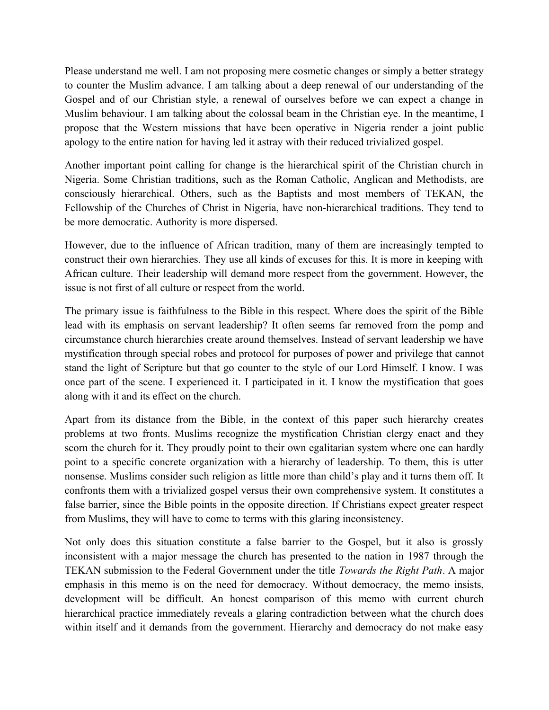Please understand me well. I am not proposing mere cosmetic changes or simply a better strategy to counter the Muslim advance. I am talking about a deep renewal of our understanding of the Gospel and of our Christian style, a renewal of ourselves before we can expect a change in Muslim behaviour. I am talking about the colossal beam in the Christian eye. In the meantime, I propose that the Western missions that have been operative in Nigeria render a joint public apology to the entire nation for having led it astray with their reduced trivialized gospel.

Another important point calling for change is the hierarchical spirit of the Christian church in Nigeria. Some Christian traditions, such as the Roman Catholic, Anglican and Methodists, are consciously hierarchical. Others, such as the Baptists and most members of TEKAN, the Fellowship of the Churches of Christ in Nigeria, have non-hierarchical traditions. They tend to be more democratic. Authority is more dispersed.

However, due to the influence of African tradition, many of them are increasingly tempted to construct their own hierarchies. They use all kinds of excuses for this. It is more in keeping with African culture. Their leadership will demand more respect from the government. However, the issue is not first of all culture or respect from the world.

The primary issue is faithfulness to the Bible in this respect. Where does the spirit of the Bible lead with its emphasis on servant leadership? It often seems far removed from the pomp and circumstance church hierarchies create around themselves. Instead of servant leadership we have mystification through special robes and protocol for purposes of power and privilege that cannot stand the light of Scripture but that go counter to the style of our Lord Himself. I know. I was once part of the scene. I experienced it. I participated in it. I know the mystification that goes along with it and its effect on the church.

Apart from its distance from the Bible, in the context of this paper such hierarchy creates problems at two fronts. Muslims recognize the mystification Christian clergy enact and they scorn the church for it. They proudly point to their own egalitarian system where one can hardly point to a specific concrete organization with a hierarchy of leadership. To them, this is utter nonsense. Muslims consider such religion as little more than child's play and it turns them off. It confronts them with a trivialized gospel versus their own comprehensive system. It constitutes a false barrier, since the Bible points in the opposite direction. If Christians expect greater respect from Muslims, they will have to come to terms with this glaring inconsistency.

Not only does this situation constitute a false barrier to the Gospel, but it also is grossly inconsistent with a major message the church has presented to the nation in 1987 through the TEKAN submission to the Federal Government under the title *Towards the Right Path*. A major emphasis in this memo is on the need for democracy. Without democracy, the memo insists, development will be difficult. An honest comparison of this memo with current church hierarchical practice immediately reveals a glaring contradiction between what the church does within itself and it demands from the government. Hierarchy and democracy do not make easy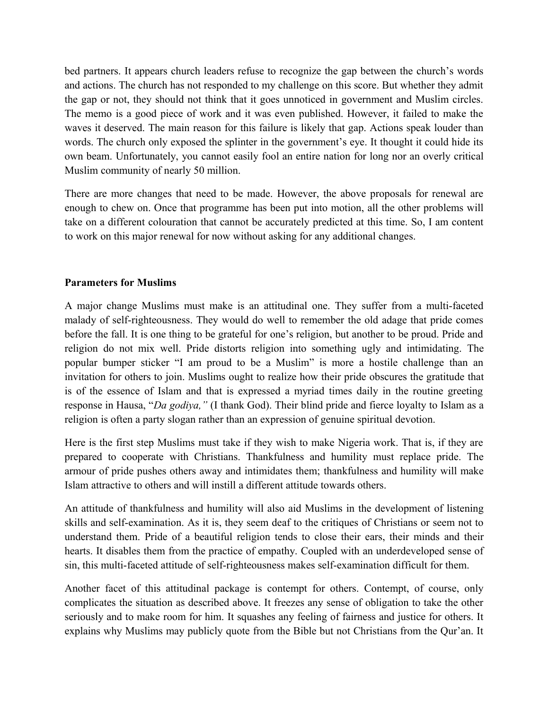bed partners. It appears church leaders refuse to recognize the gap between the church's words and actions. The church has not responded to my challenge on this score. But whether they admit the gap or not, they should not think that it goes unnoticed in government and Muslim circles. The memo is a good piece of work and it was even published. However, it failed to make the waves it deserved. The main reason for this failure is likely that gap. Actions speak louder than words. The church only exposed the splinter in the government's eye. It thought it could hide its own beam. Unfortunately, you cannot easily fool an entire nation for long nor an overly critical Muslim community of nearly 50 million.

There are more changes that need to be made. However, the above proposals for renewal are enough to chew on. Once that programme has been put into motion, all the other problems will take on a different colouration that cannot be accurately predicted at this time. So, I am content to work on this major renewal for now without asking for any additional changes.

# **Parameters for Muslims**

A major change Muslims must make is an attitudinal one. They suffer from a multi-faceted malady of self-righteousness. They would do well to remember the old adage that pride comes before the fall. It is one thing to be grateful for one's religion, but another to be proud. Pride and religion do not mix well. Pride distorts religion into something ugly and intimidating. The popular bumper sticker "I am proud to be a Muslim" is more a hostile challenge than an invitation for others to join. Muslims ought to realize how their pride obscures the gratitude that is of the essence of Islam and that is expressed a myriad times daily in the routine greeting response in Hausa, "*Da godiya,"* (I thank God). Their blind pride and fierce loyalty to Islam as a religion is often a party slogan rather than an expression of genuine spiritual devotion.

Here is the first step Muslims must take if they wish to make Nigeria work. That is, if they are prepared to cooperate with Christians. Thankfulness and humility must replace pride. The armour of pride pushes others away and intimidates them; thankfulness and humility will make Islam attractive to others and will instill a different attitude towards others.

An attitude of thankfulness and humility will also aid Muslims in the development of listening skills and self-examination. As it is, they seem deaf to the critiques of Christians or seem not to understand them. Pride of a beautiful religion tends to close their ears, their minds and their hearts. It disables them from the practice of empathy. Coupled with an underdeveloped sense of sin, this multi-faceted attitude of self-righteousness makes self-examination difficult for them.

Another facet of this attitudinal package is contempt for others. Contempt, of course, only complicates the situation as described above. It freezes any sense of obligation to take the other seriously and to make room for him. It squashes any feeling of fairness and justice for others. It explains why Muslims may publicly quote from the Bible but not Christians from the Qur'an. It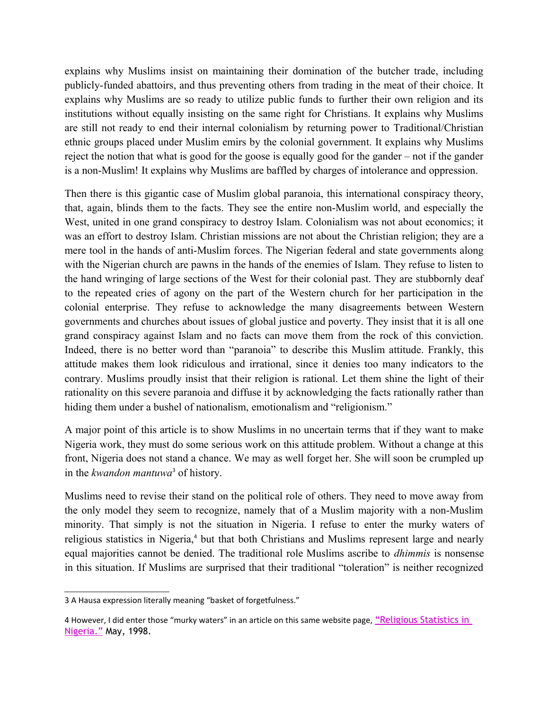explains why Muslims insist on maintaining their domination of the butcher trade, including publicly-funded abattoirs, and thus preventing others from trading in the meat of their choice. It explains why Muslims are so ready to utilize public funds to further their own religion and its institutions without equally insisting on the same right for Christians. It explains why Muslims are still not ready to end their internal colonialism by returning power to Traditional/Christian ethnic groups placed under Muslim emirs by the colonial government. It explains why Muslims reject the notion that what is good for the goose is equally good for the gander – not if the gander is a non-Muslim! It explains why Muslims are baffled by charges of intolerance and oppression.

Then there is this gigantic case of Muslim global paranoia, this international conspiracy theory, that, again, blinds them to the facts. They see the entire non-Muslim world, and especially the West, united in one grand conspiracy to destroy Islam. Colonialism was not about economics; it was an effort to destroy Islam. Christian missions are not about the Christian religion; they are a mere tool in the hands of anti-Muslim forces. The Nigerian federal and state governments along with the Nigerian church are pawns in the hands of the enemies of Islam. They refuse to listen to the hand wringing of large sections of the West for their colonial past. They are stubbornly deaf to the repeated cries of agony on the part of the Western church for her participation in the colonial enterprise. They refuse to acknowledge the many disagreements between Western governments and churches about issues of global justice and poverty. They insist that it is all one grand conspiracy against Islam and no facts can move them from the rock of this conviction. Indeed, there is no better word than "paranoia" to describe this Muslim attitude. Frankly, this attitude makes them look ridiculous and irrational, since it denies too many indicators to the contrary. Muslims proudly insist that their religion is rational. Let them shine the light of their rationality on this severe paranoia and diffuse it by acknowledging the facts rationally rather than hiding them under a bushel of nationalism, emotionalism and "religionism."

A major point of this article is to show Muslims in no uncertain terms that if they want to make Nigeria work, they must do some serious work on this attitude problem. Without a change at this front, Nigeria does not stand a chance. We may as well forget her. She will soon be crumpled up in the *kwandon mantuwa*[3](#page-12-0) of history.

Muslims need to revise their stand on the political role of others. They need to move away from the only model they seem to recognize, namely that of a Muslim majority with a non-Muslim minority. That simply is not the situation in Nigeria. I refuse to enter the murky waters of religious statistics in Nigeria,<sup>[4](#page-12-1)</sup> but that both Christians and Muslims represent large and nearly equal majorities cannot be denied. The traditional role Muslims ascribe to *dhimmis* is nonsense in this situation. If Muslims are surprised that their traditional "toleration" is neither recognized

<span id="page-12-0"></span><sup>3</sup> A Hausa expression literally meaning "basket of forgetfulness."

<span id="page-12-1"></span><sup>4</sup> However, I did enter those "murky waters" in an article on this same website page, "Religious Statistics in [Nigeria."](http://www.socialtheology.com/docs/religious-statistics-050098.pdf) May, 1998.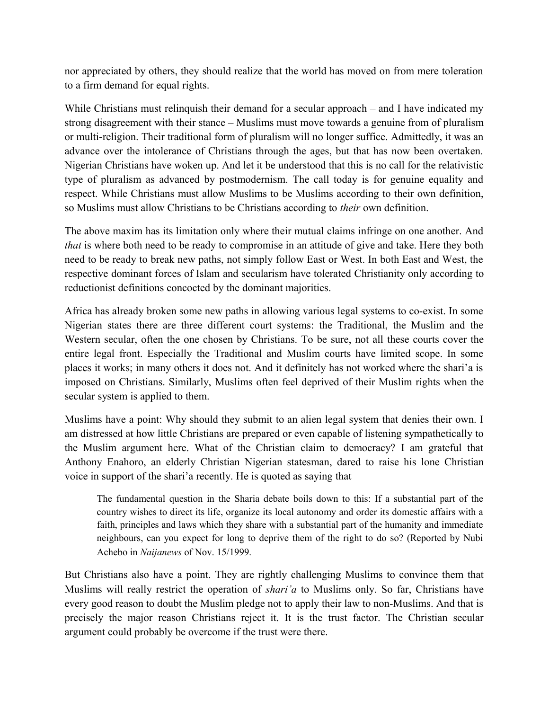nor appreciated by others, they should realize that the world has moved on from mere toleration to a firm demand for equal rights.

While Christians must relinquish their demand for a secular approach – and I have indicated my strong disagreement with their stance – Muslims must move towards a genuine from of pluralism or multi-religion. Their traditional form of pluralism will no longer suffice. Admittedly, it was an advance over the intolerance of Christians through the ages, but that has now been overtaken. Nigerian Christians have woken up. And let it be understood that this is no call for the relativistic type of pluralism as advanced by postmodernism. The call today is for genuine equality and respect. While Christians must allow Muslims to be Muslims according to their own definition, so Muslims must allow Christians to be Christians according to *their* own definition.

The above maxim has its limitation only where their mutual claims infringe on one another. And *that* is where both need to be ready to compromise in an attitude of give and take. Here they both need to be ready to break new paths, not simply follow East or West. In both East and West, the respective dominant forces of Islam and secularism have tolerated Christianity only according to reductionist definitions concocted by the dominant majorities.

Africa has already broken some new paths in allowing various legal systems to co-exist. In some Nigerian states there are three different court systems: the Traditional, the Muslim and the Western secular, often the one chosen by Christians. To be sure, not all these courts cover the entire legal front. Especially the Traditional and Muslim courts have limited scope. In some places it works; in many others it does not. And it definitely has not worked where the shari'a is imposed on Christians. Similarly, Muslims often feel deprived of their Muslim rights when the secular system is applied to them.

Muslims have a point: Why should they submit to an alien legal system that denies their own. I am distressed at how little Christians are prepared or even capable of listening sympathetically to the Muslim argument here. What of the Christian claim to democracy? I am grateful that Anthony Enahoro, an elderly Christian Nigerian statesman, dared to raise his lone Christian voice in support of the shari'a recently. He is quoted as saying that

The fundamental question in the Sharia debate boils down to this: If a substantial part of the country wishes to direct its life, organize its local autonomy and order its domestic affairs with a faith, principles and laws which they share with a substantial part of the humanity and immediate neighbours, can you expect for long to deprive them of the right to do so? (Reported by Nubi Achebo in *Naijanews* of Nov. 15/1999.

But Christians also have a point. They are rightly challenging Muslims to convince them that Muslims will really restrict the operation of *shari'a* to Muslims only. So far, Christians have every good reason to doubt the Muslim pledge not to apply their law to non-Muslims. And that is precisely the major reason Christians reject it. It is the trust factor. The Christian secular argument could probably be overcome if the trust were there.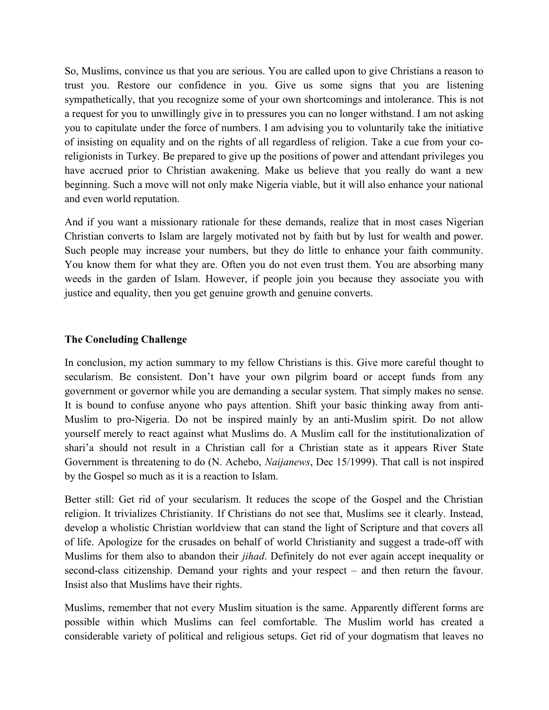So, Muslims, convince us that you are serious. You are called upon to give Christians a reason to trust you. Restore our confidence in you. Give us some signs that you are listening sympathetically, that you recognize some of your own shortcomings and intolerance. This is not a request for you to unwillingly give in to pressures you can no longer withstand. I am not asking you to capitulate under the force of numbers. I am advising you to voluntarily take the initiative of insisting on equality and on the rights of all regardless of religion. Take a cue from your coreligionists in Turkey. Be prepared to give up the positions of power and attendant privileges you have accrued prior to Christian awakening. Make us believe that you really do want a new beginning. Such a move will not only make Nigeria viable, but it will also enhance your national and even world reputation.

And if you want a missionary rationale for these demands, realize that in most cases Nigerian Christian converts to Islam are largely motivated not by faith but by lust for wealth and power. Such people may increase your numbers, but they do little to enhance your faith community. You know them for what they are. Often you do not even trust them. You are absorbing many weeds in the garden of Islam. However, if people join you because they associate you with justice and equality, then you get genuine growth and genuine converts.

# **The Concluding Challenge**

In conclusion, my action summary to my fellow Christians is this. Give more careful thought to secularism. Be consistent. Don't have your own pilgrim board or accept funds from any government or governor while you are demanding a secular system. That simply makes no sense. It is bound to confuse anyone who pays attention. Shift your basic thinking away from anti-Muslim to pro-Nigeria. Do not be inspired mainly by an anti-Muslim spirit. Do not allow yourself merely to react against what Muslims do. A Muslim call for the institutionalization of shari'a should not result in a Christian call for a Christian state as it appears River State Government is threatening to do (N. Achebo, *Naijanews*, Dec 15/1999). That call is not inspired by the Gospel so much as it is a reaction to Islam.

Better still: Get rid of your secularism. It reduces the scope of the Gospel and the Christian religion. It trivializes Christianity. If Christians do not see that, Muslims see it clearly. Instead, develop a wholistic Christian worldview that can stand the light of Scripture and that covers all of life. Apologize for the crusades on behalf of world Christianity and suggest a trade-off with Muslims for them also to abandon their *jihad*. Definitely do not ever again accept inequality or second-class citizenship. Demand your rights and your respect – and then return the favour. Insist also that Muslims have their rights.

Muslims, remember that not every Muslim situation is the same. Apparently different forms are possible within which Muslims can feel comfortable. The Muslim world has created a considerable variety of political and religious setups. Get rid of your dogmatism that leaves no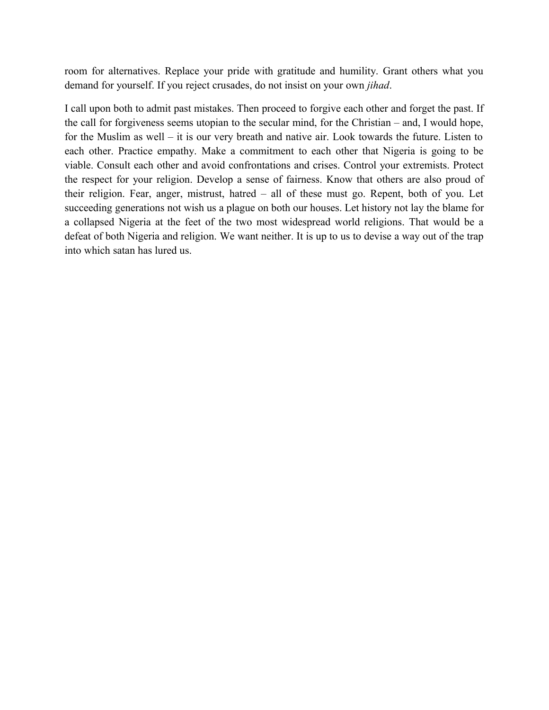room for alternatives. Replace your pride with gratitude and humility. Grant others what you demand for yourself. If you reject crusades, do not insist on your own *jihad*.

I call upon both to admit past mistakes. Then proceed to forgive each other and forget the past. If the call for forgiveness seems utopian to the secular mind, for the Christian – and, I would hope, for the Muslim as well – it is our very breath and native air. Look towards the future. Listen to each other. Practice empathy. Make a commitment to each other that Nigeria is going to be viable. Consult each other and avoid confrontations and crises. Control your extremists. Protect the respect for your religion. Develop a sense of fairness. Know that others are also proud of their religion. Fear, anger, mistrust, hatred – all of these must go. Repent, both of you. Let succeeding generations not wish us a plague on both our houses. Let history not lay the blame for a collapsed Nigeria at the feet of the two most widespread world religions. That would be a defeat of both Nigeria and religion. We want neither. It is up to us to devise a way out of the trap into which satan has lured us.